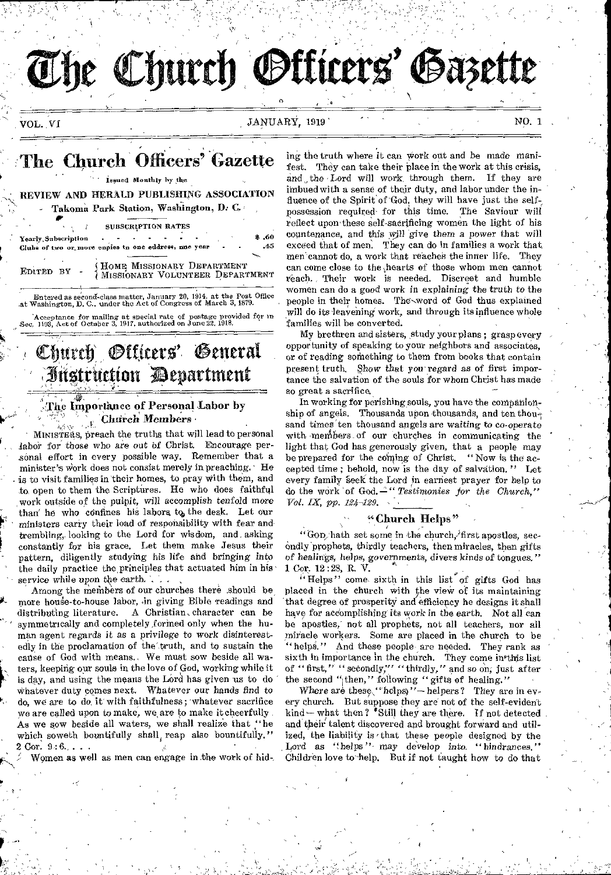# The Church Officers' Gazette

VOL. VI

JANUARY, 1919

NO. 1

### The Church Officers' Gazette Issued Monthly by the REVIEW AND HERALD PUBLISHING ASSOCIATION Takoma Park Station, Washington, D. C. SUBSCRIPTION RATES

|                                                     |                                                                  |  |  |  | \$60 |
|-----------------------------------------------------|------------------------------------------------------------------|--|--|--|------|
| Clubs of two or more enpies to one eddress, me year |                                                                  |  |  |  | .45  |
|                                                     |                                                                  |  |  |  |      |
| EDITED BY                                           | SHOME MISSIONARY DEPARTMENT<br>{ MISSIONARY VOLUNTEER DEPARTMENT |  |  |  |      |

Entered as second-class matter, January 20, 1914, at the Post Office<br>at Washington, D. C., under the Act of Congress of March 3, 1879.

Acceptance for mailing at special rate of postage provided for m Sec. 103, Act of October 3, 1917, authorized on June 22, 1918.

# Church *Otticers'* General Instruction Department

### The Importance of Personal Labor by  $\sum_{i=1}^{\infty}$  Church Members

MINISTERS, preach the truths that will lead to personal labor for those who are out of Christ. Encourage personal effort in every possible way. Remember that a minister's work does not consist merely in preaching. He is to visit families in their homes, to pray with them, and to open to them the Scriptures. He who does faithful work outside of the pulpit, will accomplish tenfold more than he who confines his labors to the desk. Let our ministers carry their load of responsibility with fear and trembling, looking to the Lord for wisdom, and asking constantly for his grace. Let them make Jesus their pattern, diligently studying his life and bringing into the daily practice the principles that actuated him in his service while upon the earth. . . .

Among the members of our churches there should be more house-to-house labor, in giving Bible readings and distributing literature. A Christian character can be symmetrically and completely formed only when the human agent regards it as a privilege to work disinterestedly in the proclamation of the truth, and to sustain the cause of God with means. We must sow beside all waters, keeping our souls in the love of God, working while it is day, and using the means the Lord has given us to do whatever duty comes next. Whatever our hands find to do, we are to do it with faithfulness; whatever sacrifice we are called upon to make, we are to make it cheerfully. As we sow beside all waters, we shall realize that "he which soweth bountifully shall, reap also bountifully."  $2 \text{ Gor. } 9:6...$ 

Women as well as men can engage in the work of hid-

ing the truth where it can work out and be made manifest. They can take their place in the work at this crisis, and the Lord will work through them. If they are imbued with a sense of their duty, and labor under the influence of the Spirit of God, they will have just the selfpossession required for this time. The Saviour will reflect upon these self-sacrificing women the light of his countenance, and this will give them a power that will exceed that of men. They can do in families a work that men cannot do, a work that reaches the inner life. They can come close to the hearts of those whom men cannot reach. Their work is needed. Discreet and humble women can do a good work in explaining the truth to the people in their homes. The word of God thus explained will do its leavening work, and through its influence whole families will be converted.

My brethren and sisters, study your plans; grasp every opportunity of speaking to your neighbors and associates, or of reading something to them from books that contain present truth. Show that you regard as of first importance the salvation of the souls for whom Christ has made so great a sacrifice.

In working for perishing souls, you have the companionship of angels. Thousands upon thousands, and ten thousand times ten thousand angels are waiting to co-operate with members of our churches in communicating the light that God has generously given, that a people may be prepared for the coming of Christ. "Now is the accepted time; behold, now is the day of salvation." Let every family seek the Lord in earnest prayer for help to do the work of God. - "Testimonies for the Church," Vol. IX, pp. 124-129.

### "Church Helps"

"Gop hath set some in the church. first apostles, secondly prophets, thirdly teachers, then miracles, then gifts of healings, helps, governments, divers kinds of tongues." 1 Cor. 12:28, R. V.

"Helps" come sixth in this list of gifts God has placed in the church with the view of its maintaining that degree of prosperity and efficiency he designs it shall have for accomplishing its work in the earth. Not all can be apostles, not all prophets, not all teachers, nor all miracle workers. Some are placed in the church to be "helps." And these people are needed. They rank as sixth in importance in the church. They come in this list of "first," "secondly," "thirdly," and so on, just after the second "then," following "gifts of healing."

Where are these "helpsy"-helpers? They are in every church. But suppose they are not of the self-evident<br>kind — what then? "Still they are there. If not detected and their talent discovered and brought forward and utilized, the liability is that these people designed by the Lord as "helps" may develop into "hindrances." Children love to help. But if not taught how to do that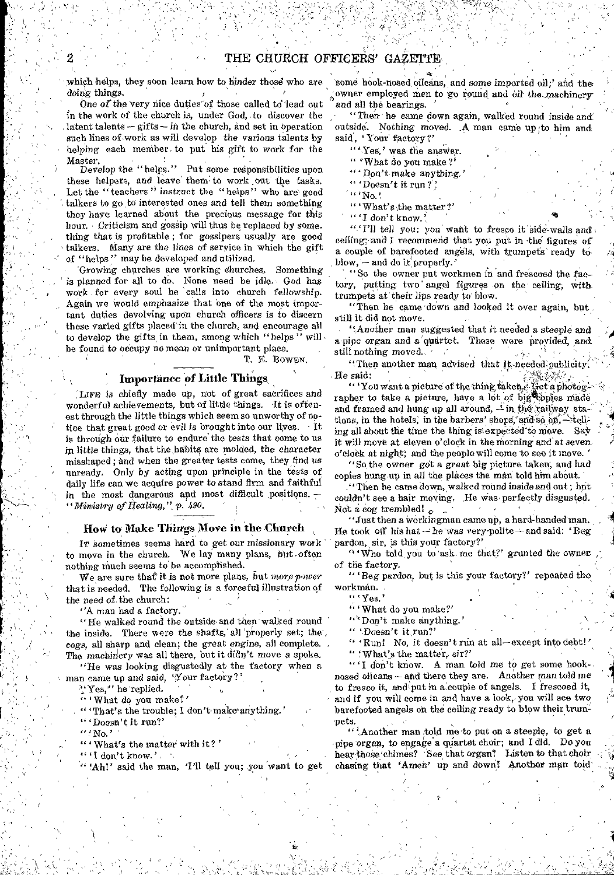which helps, they soon learn how to hinder those who are *doing* things.

One of the very nice duties of those called to lead out in the work of the church is, under God, to discover the latent talents — gifts — in the church, and set in operation such lines of work as will develop the various talents by helping each member, to put his gift to work for the Master.

Develop the "helps." Put some responsibilities upon these helpers, and leave them to work out the tasks. Let the "teachers" instruct the "helps" who are good talkers to go, to interested ones and tell them something they have learned about the precious message for this hour. Criticism and gossip will thus be replaced by some. thing that is profitable; for gossipers usually are good talkers, Many are the lines of service in which the gift of "helps" may be developed and utilized.

Growing churches are working churches. Something is planned for all to do. None need be idle. God has work for every soul he calls into church fellowship. Again we would emphasize that one of the most important duties devolving upon church officers is to discern these varied gifts placed in the church, and encourage all to develop the gifts in them, among which "helps" will be found to *occupy* no mean or unimportant place.

T. E. Bowen.

### Importance of Little Things

LIFE *is* chiefly made up, not of great sacrifices and wonderful achievements, but of little things. It is oftenest through the little things which seem so unworthy of notice that great good or evil is brought into our lives. It is through our failure to endure the tests that come to us in little things, that the habits are molded, the character misshaped ; and when the greater tests come, they find us unready. Only *by* acting upon principle in the tests of daily life can we acquire power to stand firm and faithful in the most dangerous and most difficult positions. *"Ministry of Healing,", p. 490.* 

### How to Make Things Move in the Church

It sometimes seems hard to get our missionary work to move in the church. We lay many plans, but /often nothing much seems to be accomplished.

We are sure that' it is not more plans, but *more power*  that is needed. The following is a forceful illustration of the need of the church:

"A man had a factory.'

 $H$ e walked round the outside and then walked round the inside. There were the shafts,' all 'properly set; the', *cogs,* all sharp and clean; the great *engine,* all complete. The machinery was all there, but it didn't move a spoke.

"He was looking disgustedly at the factory when a man came up and said, 'Your factory?'

',"Yes,'' he replied.

" ' What do you make?'

" 'That's the trouble; I don't make anything.

" 'Doesn't it run?'

" 'No.' '

" ' What's the matter with it? '

 $``$ 'I don't know.'.

" 'Ah!' said the man, 'I'll tell you; you want to get

•

'some hook-nosed bileans, and *some* imported oil;' and the owner employed men to go round and oil the machinery and all the bearings.

"Then he came down again, walked round inside and outside. Nothing moved. A man came up; to him and said, ' Your factory?'

"' 'Yes,' was the answer.

" 'What do you make?'

"'Don't make anything.

- $"$  Doesn't it run?
- " 'No.'

 $\lq\lq\lq$  'What's the matter ?

"'.I don't know.'

".'I'll tell you: you'want to fresco it side-walls and ceiling; and I recommend that you put in the figures of a couple of barefooted angels, with trumpets' ready to. blow, — and do it'properly.'

"So the owner put workmen in and frescoed the factory, putting two' angel figures on the ceiling; withtrumpets at their lips ready to blow.

"Then he came down and looked it over again, but still it did not move.

".Another man suggested that it needed a steeple and a pipe organ and a qUartet. These were provided, and still nothing moved.. -

"Then another man advised that it-needed :publicity; ' He said:

'You want a picture of the thing taken. Get a photographer to take a picture, have a lot of big copies made and framed and hung up all around,  $\stackrel{\text{4}}{=}$  in the railway stations, in the hotels, in the barbers' shops, and  $\overline{sq}$ ,  $\overline{q}$ ,  $-\overline{t}$ ,  $\overline{dl}$ ing all about the time the thing is expected to move. Say it will move at eleven o'clock in the morning and at seven o'clock at night; and the people will come 'to see it move. '

"So, the owner got a great big picture taken', and had copies hung up in all the places the man told him about.

." Then he came down, walked round inside and out ; bit couldn't see a hair moving. He was perfectly disgusted. Not a cog trembled!  $\circ$ 

"Just then a Workingman came up, a hard-handed man. He took off his hat -- he was very polite  $+$  and said: 'Beg pardon, sir, is this your factory?'

0'Who told, you to 'ask. me that?' grunted the owner, of the factory.

*"'Beg* pardon, but is this your factory?' repeated the workman.

" 'Yes.'

" ' What do you make?'

 $``$ Don't make anything.

" 'Doesn't it,run?'

"'Runt No, it doesn't ran at all—except into debt!' " 'What's the matter, sir?'

"'I don't know. A man told me to get some hook-. nosed oilcans — and there they are. Another man told me to fresco it, and put in a:couple of angels. I frescoed it, and if you will come in and have a look, you will see two barefooted angels on the ceiling ready to blow their trumpets.

" 'Another man told me 'to put on a steeple, to get a pipe organ, to engage a quartet choir; and I did. Do you hear those chimes? 'See that organ? Listen to that choir chasing that 'Amen' up and down! Another man told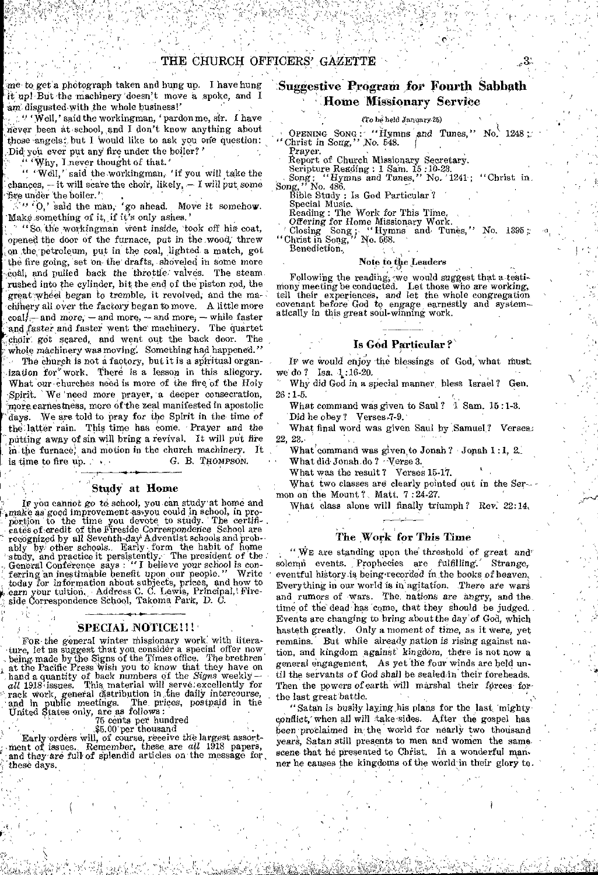$\mathbf{m}$ e to get a photograph taken and hung up. I have hung it up! But the machinery doesn't move a spoke, and I am disgusted with the whole business!'

'Well,' said the workingman, 'pardon me, sir. I have never been at school, and I don't know anything about those angels: but I would like to ask you one question: Did you ever put any fire under the boiler?'

" 'Why, I never thought of that.'

" 'Well,' said the workingman, ' if you will take the chances,  $-$  it will scare the choir, likely,  $-$  I will put, some fire under the boiler.'

 $'$ .' $'$ O,' said the man, 'go ahead. Move it somehow. 'Make something of it, if it's only ashes.'

" So, the workingman went inside, 'took off his coat, opened the door of the furnace, put in the wood, threw , on the:petroleum, put *in* the coal, lighted. a match, got the fire going, set on the drafts, shoveled in some more coal; and pulled back the throttle valves. The steam. rushed into the cylinder, hit the end of the piston rod, the great wheel began to tremble, it revolved, and the machinery all over the factory began to move. A little more  $\text{coal}/\text{--}$  and more,  $\text{--}$  and more,  $\text{--}$  and more,  $\text{--}$  while faster and faster and faster went the machinery. The quartet choir got seared, and went out the back door. The choir. got scared, and went out the back door. whole machinery was moving. Something had happened."

The church is not a factory, but it is a spiritual organization for work. There is a lesson in this allegory. What our churches need is more of the fire of the Holy Spirit. We need more prayer, a deeper consecration, more earnestness, more of the zeal manifested in apostolic "days. We are told to pray for the Spirit in the time of the latter rain. This time has come. Prayer and the putting away of sin will bring a revival. It will put fire in the furnace, and motion in the church machinery. It is time to fire up. is time to fire up.  $\cdot$ 

### Study at Home

IF you cannot *go to* school; you can study' at home and make as good improvement assyou could in school, in proportion to the time you devote to study. The certificates of credit of the Fireside Correspondence School are recognized by all Seventh-day Adventist schools and probably by other schools. Early form the habit of home study, and practice it persistently. The president of the 'study, and practice it persistently. The president of the General Conference says : "I believe your school is con-<br>ferring an inestimable benefit upon our people." Write today for information about subjects, prices, and how to earn your tuition, Address C. C. Lewis, Principal! Fireside Correspondence School, Takoma Park, D. C.

### SPECIAL NOTICE!!!

FOE the general winter missionary work' With literature, let us suggest that you consider a special offer now. being made by the Signs of the Times office. The brethren' at the Pacific Press wish you to know that they have on hand a quantity of back numbers of the Signs weekly – all 1918 issues. This material will serve excellently for the strack work, general distribution in the daily in

76 cents per hundred \$5.00 per thousand

Early orders will, of course, receive the largest assort-<br>ment of issues. Remember, these are *all* 1918 papers,<br>and they are full of splendid articles on the message for these days.

### Suggestive Program for Fourth Sabbath .Home Missionary Servie

### (To be held January-25)

OPENING SONG: "Hymns and Tunes," No. 1248;<br>"Christ in *Song,"* No. 548.

Prayer.

Report of Church Missionary Secretary. Scripture Reading : 1 Sam. 15 :10-23. . Song: "Hymns and Tunes," No.' 1241-; "Christ in.

*Song,"* No. 486. Bible Study : Is God Particular ? Special Music.

Reading : The Work for This Time,

Offering for Home Missionary Work.<br>
Closing Song : "Hymns and Tunes," No. 1395;

"Closing Song; "Hym"<br>Christ in Song," No. 568.

Benediction.,

### Note to the Leaders

Following the reading, we would suggest that a-testi-<br>mony meeting be conducted. Let those who are working,<br>tell their experiences, and let the whole congregation covenant before God to engage earnestly and system— atically in this great soul-winning work.

### Is God Particular?

IF we would enjoy the blessings of God, what must, we do ? Isa. 1:16-20.

'" Why did God in a special manner, bless Israel? Gen. 26 :1-5.

What command was given to Saul ?  $1$  Sam. 15:1-3.

'Did he obey? Verses-7-9.- What final word was given Saul by .Samuel? Verses; 22, 23.. '"

What' command was given to Jonah ? Jonah 1:1, 2.

What did Jonah do? Verse 3.

What was the result? Verses 15-17.

What two classes are clearly pointed out in the Ser mon on the Mount?, Matt. 7:24-27.

What class alone will finally triumph? Rev: 22:14.

### The Work for This Time

" WE are standing upon the' threshold of great and' solemn events. Prophecies are fulfilling. eventful history-is being-recorded in the books *of* heaven. Everything in our world is in agitation. There are wars and, rumors of -wars. The, nations are *angry,* and the. time of the dead has come, that they should be judged. Events are changing to bring about the day'of God, which hasteth greatly. Only a moment *of* time, as it were, yet remains. But while already nation is rising against nation, and kingdom *against'* kingdom, there is not now a general engagement, As yet the four winds are held un. til the servants of God shall be sealed in their foreheads. Then the powers of earth will marshal their forces forthe last great battle.

"Satan is busily laying his plans for the last 'mightyconflict, when all will take sides. After the gospel has been proclaimed in the world for nearly two thousand years, Satan still presents to men and women the same. scene that he presented to Christ. In a wonderful man. ner he causes the kingdoms of the world in their glory to.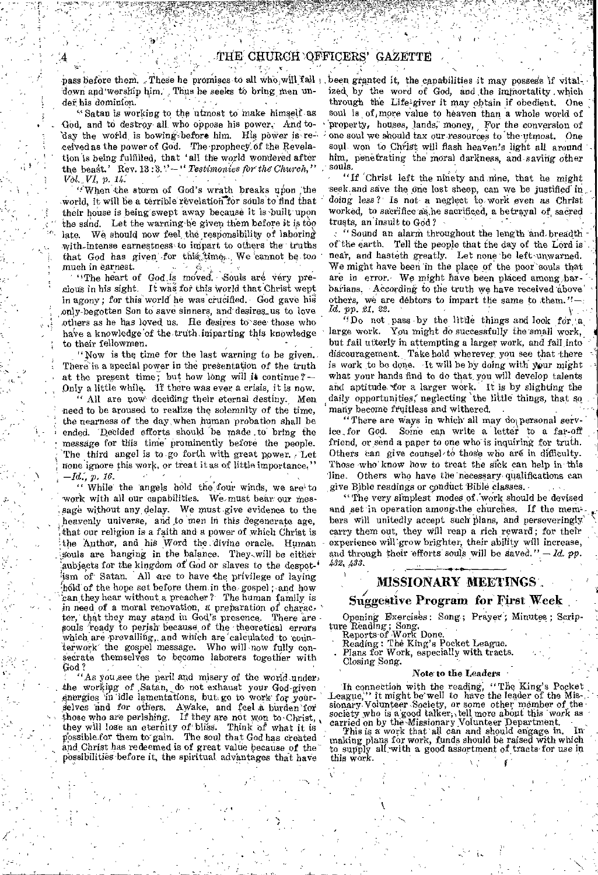pass before them. These he promises to all who will fall been granted it, the capabilities it may possess if vitaldown and worship him. Thus he seeks to bring men under his dominion.

"Satan is working to the utmost to make himself as God, and to destroy all who oppose his power. And today the world is bowing before him. His power is received as the power of God. The prophecy of the Revelation is being fulfilled, that 'all the world wondered after the beast.' Rev. 13:3."-" Testimonies for the Church," Vol. VI, p. 14.

"When the storm of God's wrath breaks upon the world, it will be a terrible revelation for souls to find that their house is being swept away because it is built upon the sand. Let the warning be given them before it is too late. We should now feel the responsibility of laboring with-intense earnestness to impart to others the truths that God has given for this time. We cannot be too much in earnest.

"The heart of God is moved. Souls are very precious in his sight. It was for this world that Christ wept in agony; for this world he was crucified. God gave his only-begotten Son to save sinners, and desires, us to love others as he has loved us. He desires to see those who have a knowledge of the truth imparting this knowledge to their fellowmen.

"Now is the time for the last warning to be given. There is a special power in the presentation of the truth at the present time; but how long will it continue? -Only a little while. If there was ever a crisis, it is now.

" All are now deciding their eternal destiny. Men need to be aroused to realize the solemnity of the time, the nearness of the day when human probation shall be ended. Decided efforts should be made to bring the message for this time prominently before the people. The third angel is to go forth with great power. Let none ignore this work, or treat it as of little importance.' Id., p. 16.

" While the angels hold the four winds, we are to work with all our capabilities. We must bear our message without any delay. We must give evidence to the heavenly universe, and to men in this degenerate age, that our religion is a faith and a power of which Christ is the Author, and his Word the divine oracle. Human souls are hanging in the balance. They will be either aubjects for the kingdom of God or slaves to the despotism of Satan. All are to have the privilege of laying hold of the hope set before them in the gospel: and how can they hear without a preacher? The human family is in need of a moral renovation, a preparation of charac. ter, that they may stand in God's presence. There are souls ready to perish because of the theoretical errors which are prevailing, and which are calculated to counterwork the gospel message. Who will now fully consecrate themselves to become laborers together with God i

As you see the peril and misery of the world under. the working of Satan, do not exhaust your God-given energies in idle lamentations, but go to work for yourselves and for others. Awake, and feel a burden for those who are perishing. If they are not won to Christ. they will lose an eternity of bliss. Think of what it is possible for them to gain. The soul that God has created and Christ has redeemed is of great value because of the possibilities before it, the spiritual advantages that have

ized by the word of God, and the immortality which through the Life-giver it may obtain if obedient. One soul is of more value to heaven than a whole world of property, houses, lands, money, For the conversion of one soul we should tax our resources to the utmost. One soul won to Christ will flash heaven's light all around him, penetrating the moral darkness, and saving other  $s$ ou la

"If Christ left the ninety and nine, that he might seek and save the one lost sheep, can we be justified in doing less? Is not a neglect to work even as Christ worked, to sacrifice as he sacrificed, a betrayal of sacred trusts, an insult to  $G_0 d$  ?

: "Sound an alarm throughout the length and breadth of the earth. Tell the people that the day of the Lord is near, and hasteth greatly. Let none be left unwarned. We might have been in the place of the poor souls that are in error. We might have been placed among barbarians. According to the truth we have received above others, we are debtors to impart the same to them."-Id. pp. 21, 22.

"Do not pass by the little things and look for a large work. You might do successfully the small work, but fail utterly in attempting a larger work, and fall into discouragement. Take hold wherever you see that there is work to be done. It will be by doing with your might what your hands find to do that you will develop talents and aptitude for a larger work. It is by slighting the daily opportunities, neglecting the little things, that so many become fruitless and withered.

"There are ways in which all may do personal service for God. Some can write a letter to a far-off friend, or send a paper to one who is inquiring for truth. Others can give counsel/to those who are in difficulty. Those who know how to treat the sick can help in this line. Others who have the necessary qualifications can give Bible readings or conduct Bible classes.

"The very simplest modes of work should be devised and set in operation among the churches. If the members will unitedly accept such plans, and perseveringly carry them out, they will reap a rich reward; for their experience will grow brighter, their ability will increase, and through their efforts souls will be saved." - Id. pp. 432, 433.

### **MISSIONARY MEETINGS**

**Suggestive Program for First Week** 

Opening Exercises: Song; Prayer; Minutes; Scrip-

ture Reading; Song.<br>Reports of Work Done.

Reading: The King's Pocket League.<br>Plans for Work, especially with tracts.

Closing Song.

### Note to the Leaders

In connection with the reading, "The King's Pocket<br>ague," it might be well to have the leader of the Mis-League," it might be well to have the leader of the Missionary Volunteer Society, or some other member of the society who is a good talker, tell more about this work as carried on by the Missionary Volunteer Department.

This is a work that all can and should engage in. Τn making plans for work, funds should be raised with which to supply all with a good assortment of tracts for use in this work.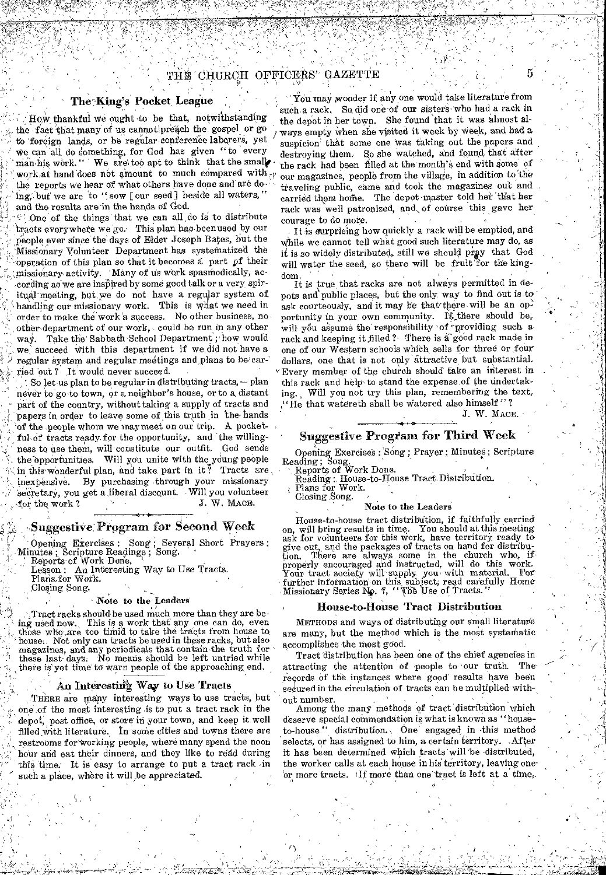### THE CHURCH OFFICERS' GAZETTE

### The King's Pocket League

How thankful we ought to be that, notwithstanding the fact that many of us cannot preach the gospel or go to foreign lands, or be regular conference laborers, yet we can all do something, for God has given "to every man his work." We are too apt to think that the small work at hand does not amount to much compared with  $\psi$ the reports we hear of what others have done and are doing, but we are to "sow  $\lceil \text{our seed} \rceil$  beside all waters," and the results are in the hands of God.

 $\odot$  One of the things that we can all do is to distribute tracts everywhere we go. This plan hap beenused by our people ever since the' days of Elder Joseph Bates, but the Missionary Volunteer Department has systematized the -1 operation of this plan so that it becomes a part *pf* their missionary activity. 'Many of us work spasmodically, ac-.cording as we are inspired by some good talk or a very spir itual meeting, but, we do not have a regular system of handling our missionary work. This is what we need in  $\frac{1}{2}$  order to make the work a success. No other business, no  $\frac{1}{2}$  other dependence of our work a success. other department of our work, could be run in any other way. Take the Sabbath School Department; how would we succeed with this department if we did not have a regular system and regular meetings and plans to be carried out? It would never succeed.

So let us plan to be regular in distributing tracts, - plan never to go to town, or a neighbor's house, or to a distant part of the country, without taking a supply of tracts and papers in order to leave some of this truth in the hands of the people Whom we may meet on our trip. A pocketful of tracts ready for the opportunity, and the willingness to use them, will constitute our outfit. God sends the opportunities. Will you unite with the young people in this wonderful plan, and take part in it? Tracts are, inexpensive. By purchasing through your missionary Secretary, you get a liberal discount. Will you volunteer<br>for the work?<br> $\frac{1}{2}$ . W. MACE. for the work?

### Suggestive: Program for Second Week

Opening Exercises : Song ; Several Short Prayers ; Minutes ; Scripture Readings ; Song. ' Reports of Work 'Done,

Lesson: An Interesting Way to Use Tracts. Plans for Work. Closing Song. •

### --Note to the Leaders

Tract racks should be used much more than they are be-<br>tused now. This is a work that any one can do, even ing used now. This is a work that any one can do, even  $\downarrow$  those who are too timid to take the tracts from house to house. Not only can tracts be used in these racks, but also magazines, and any periodicals that contain the truth for these last- days, 'No means should be left untried while there is' yet time' to warn people of the approaching end-

### An Interesting Way to Use Tracts

THERE are many interesting ways to use tracts, but one of the most interesting is to put a tract rack in the depot, post office, or store in your town, and keep it well filled with literature. In some cities and towns there are restrooms for-Working people, where many spend the noon hour and eat their dinners, and they like to read during this time. It is easy to arrange to put a tract rack in such a place, where it will be appreciated.

You may wonder if any one would take literature from such a rack, So, did one of our sisters who had a rack in the depot in her town. She found that it was almost always empty when she visited it week by week, and had a suspicion' that some one Was faking out the papers and destroying them. So she watched, and found, that after 'the rack had been filled at the'month's end with some of our magazines, people from the village, in addition to the traveling public, came and took the magazines out and carried them home. The depot master told her that her rack was well patronized, and, of course this gave her courage to do more.

It is surprising how quickly a rack will be emptied, and While we cannot tell what good such literature may do, as it is so widely distributed, still we should pray that God will water the seed, so there will be fruit 'for the king-

dom.<br>It is true that racks are not always permitted in depots and public places, but the only way to find out is to ask courteously, and it may be that there will be an opportunity in your own community. If there should be, will you assume the responsibility of providing such a rack and keeping it filled ? There is a good rack made in one of our Western schools which sells for three or four dollars, one that is not only attractive but substantial. Every member of the church should take an interest in this rack and help to stand the expense of the undertaking. Will you not try this plan, remembering the text, ,"He that waiereth shall be watered also himself " ?

J. W. MACE.

yr

### **Suggestive Program for Third Week**

Opening Exercises : Song ; Prayer; Minutes; Scripture Reading; Song. Reports of Work Done.

Reading; House-to-House Tract Distribution.<br>Plans for Work.

Closing Song.

### Note to the Leaders

House-to-house tract distribution, if faithfully carried on, will bring results in time. You should at this meeting ask for volunteers for this Work, have territory ready to give out, and the packages of tracts on hand for distribution. There are always some in the church who, if-properly encouraged and instructed, will do this work. Your tract society will supply you, with material. For further information on this subject; read carefully Home Missionary Series No. 7, "The Use of Tracts."

#### House-to-House Tract Distribution

METHODS and ways of distributing our small literature are many, but the method which is the most systematic accomplishes the most good.

Tract distribution has been one of the chief agencies in attracting the attention of people to our truth. The records of the instances where good results have been secured in the circulation of tracts can be multiplied without number.

Among the many methods of tract 'distribution which deserve special commendation is what is known as " houseto-house " distribution., One' engaged in -this method, selects, or has assigned to him, a certain territory. .After it has been determined which tracts will 'be distributed, the worker calls at each house in his territory, leaving one-'or more tracts. If more than one tract is left at a time,.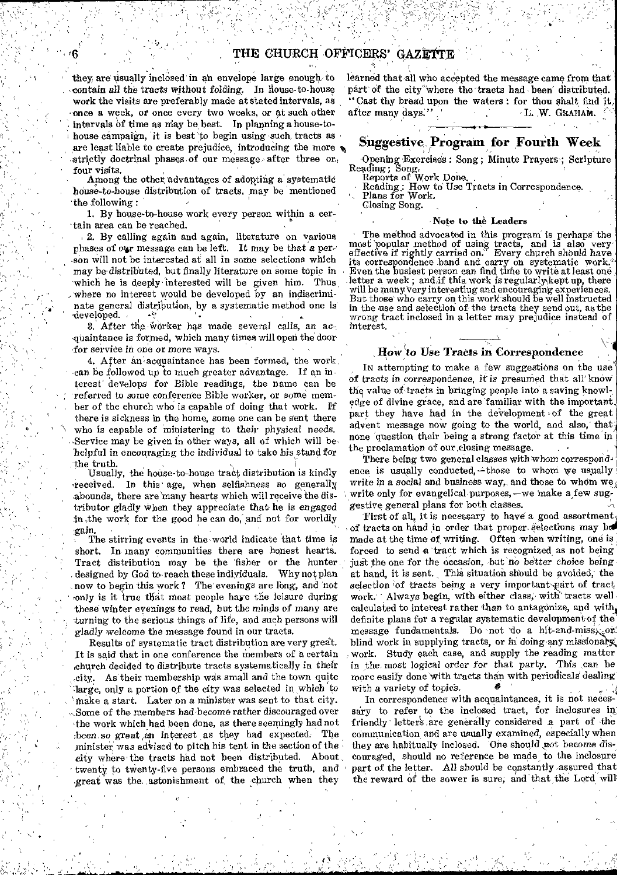they are usually inclosed in ah envelope large enough, to contain all the tracts without folding. In house-to-house work the visits are preferably made at stated intervals, as once a week, or once every two weeks, or at such other intervals of time as niay be best. In planning a house-tohouse campaign, it is best to begin using such tracts as are least liable to create prejudice, introducing the more .strictly doctrinal phases, of our message, after three or, four visits.

Among the other advantages of adopting a systematic house-to-house distribution of tracts, may be mentioned 'the following :

1. By house-to-house work every person within a cer-<br>n area can be reached tain area can be reached.

2. By calling again and again, literature on various phases of our message can be left. It may be that a per-.son will not be interested at all in some selections which may be distributed, but finally literature on some topic in which he is deeply interested will be given him. Thus where no interest would be developed by an indiscriminate general distribution, by a systematic method one is 'developed. ,

3. After the worker has made several calls, an ac--quaintance is formed, which many times will open the door 'for service in one or more *ways.* 

4. After an acquaintance has been formed, the work, 'can be followed up to much greater advantage. If an interest' develops for Bible readings, the name can be referred to some conference Bible worker, or some member of the church who is capable of doing that work. If there is sickness in the home, some one can be sent there who is capable of ministering to their physical needs. Service may be given in other ways, all of which will be, helpful in *encouraging* the individual to take his stand for the truth.

Usually, the house-to-house tract distribution is kindly received. In this age, when selfishness so generally abounds, there are many hearts which will receive the distributor gladly when they appreciate that he is *engaged*  in the work for the good he can do; and not for worldly gain. The stirring events in the world indicate that time is

short, In many communities there are honest hearts. Tract distribution may be the 'fisher or the hunter designed by God to reach these individuals. Why not plan now to begin this work? The evenings are long, and not 'only is it true that most people haye the leisure during these winter evenings to read, but the *minds* of many are turning to the serious things of life, and such persons will *gladly* welcome the message found in our tracts.

Results of systematic tract distribution are very great. It is said that in one conference the members of a certain ichurch decided to distribute tracts systematically in their (city. As their membership was small and the town quite large, only a portion of the city was selected in which to make a start. Later on a minister was sent to that city. Some of the members had become rather discouraged over the work which had been done, as there seemingly had not been so great an interest as they had expected. The minister was advised to pitch his tent in the section of the city where. the tracts had not been distributed. About twenty to twenty-five persons embraced the truth, and great was the astonishment of the church when they

learned that all who accepted the message came from that part' Of the eity'where the-tracts had been distributed. " Cast thy bread upon the waters : for thou shalt, find it after many days." The M. GRAHAM.

### Suggestive.Program for Fourth Week

Opening-Exercises: Song; Minute Prayers; Scripture Reading; Song.<br>Reports of Work Done.

Reading: How to Use Tracts in Correspondence. Plans for Work.

Closing Song.

#### Note to the Leaders

The method advocated in this program is perhaps the most popular method of using tracts, and is also very effective if rightly carried on. Every church should have its correspondence band and carry on systematic work. Even the busiest person can find time to write at least one letter a week; and if this work is regularly kept up, there will be many very interesting and encouraging experiences. But those' who carry on this work should be well instructed in the use and selection of the tracts they send out, as the wrong tract inclosed in a letter may prejudice instead of interest.

### Aow to Use Tracts in Correspondence

*1\ ,* 

In attempting to make a few suggestions on the use of tracts in *correspondence,* it is presumed that all' know the value of tracts in bringing people into a saving knowledge of divine grace, and are familiar with the importantpart they have had in the development of the great advent message now going to the world, and also,' that none 'question their being a strong factor at this time in] the proclamation of our, closing message.

There being two general classes with whom correspondence is usually conducted,  $\div$ those to whom we usually write in a social and business way, and those to whom we write only for evangelical purposes, —we make a few suggestive general plans for both classes.

First of all, it is necessary to have a good assortment. of tracts on hand in order that proper selections may be made at the time of writing. Often when writing, one is forced to send a tract which is recognized as not being just the one for the occasion, but *no* better choice being at hand, it is sent. , This situation shbuld be avoided, the selection of tracts being a very important-part of tract work. Always begin, with either class, with tracts well calculated to interest rather than to antagonize, and with definite plans for a regular systematic development of the message fundamentals. Do not do a hit-and-miss $\lambda$ .02 blind work in supplying tracts, or in doing any missionary . work. Study each case, and supply the reading matter in the most logical order *for* that party. 'This can be more easilY done with tracts than with periodicals dealing with a variety of topics.

In correspondence with acquaintances, it is not necessary to refer to the inclosed tract, for inclosures in friendly letter's are generally considered a part of the communication and are usually examined, especially when they are habitually inclosed. One should not become dis- , couraged, should no reference be made to the inclosure part of the letter. All should be constantly assured that the reward of the sower is sure; and that the Lord, will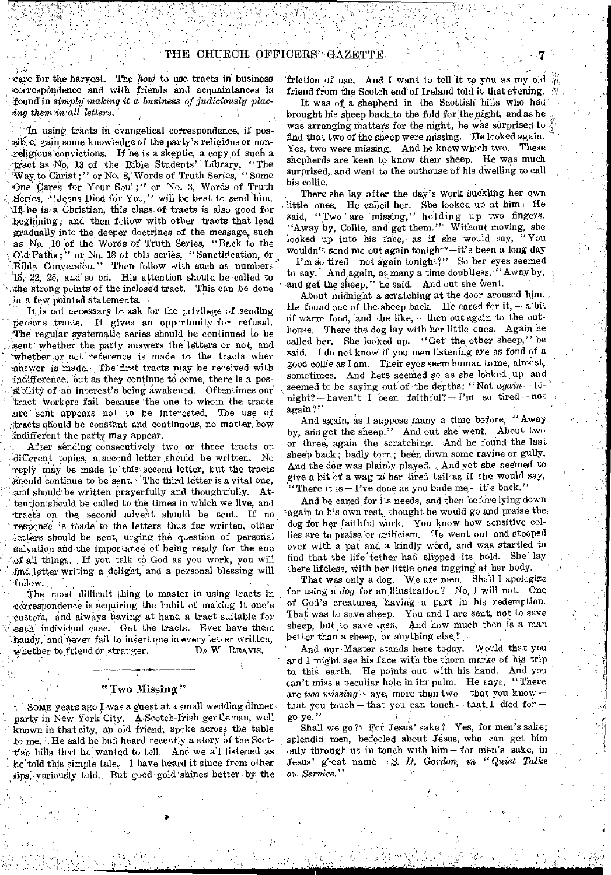his collie.

care for the harvest. The *how* to use tracts in business correspondence and with friends and acquaintances is 'found in *simply making it a business of judiciously placing them in all letters.* 

1"n using tracts in evangelical 'correspondence, if possible, gain some knowledge of the party's religious or nonreligious convictions. If he is a skeptic, a copy of such a tract as No. 13 of the Bible Students' Library, "The Way to Christ;" or No. 8, Words of Truth Series, "Some One Cares for Your Soul;" or No. 3, Words of Truth Series, ''Jesus Died for You,'' will be best to send him. If he is a Christian, this class of tracts is also good for beginning; and then follow with other tracts that lead gradually into the deeper doctrines of the message, such as No. 10 of the Words of Truth Series, "Back to the Old- Paths ;" or No. 18 of this series, " Sanctification, Or Bible Conversion." Then follow with such as numbers 15; 22, 25, and so on. His attention should be 'called to the strong points of the inclosed tract. This can be done in a few:pointed, statements.

It is not necessary to ask for the privilege of sending persons tracts. It gives an opportunity for refusal. The regular systematic series should be continued to be sent<sup>,</sup> whether the party answers the letters or not, and whether or not reference is made to the tracts when answer is made. The first tracts may be received with -indifference, but as they continue to come, there is a posaibility of :an interest's being awakened. Oftentimes our tract workers fail because the one to whom the tracts are sent appears not to be interested. The use of tracts should'be constant and continuous, no matter, how - indifferent the patty may appear.

After sending consecutively two or three tracts on different topics, a second letter should be written. No<br>second letter but the tracts 'reply 'may be made to this) second letter, but the tracts should continue to be sent. The third letter is a vital one, and should' be written" prayerfully and thoughtfully. At tention should be called to the times in which we live, and tracts on the second advent should be sent. If no response is made to the letters thus far written, other letters should be sent, urging the question of personal salvation and the importance of being ready for the end all things. , If you talk to God as you work, you Will find letter writing a delight, and a personal blessing will follow.

The most difficult thing to master in using tracts in correspondence is acquiring the habit of making it one's custom, and always having at hand a tract suitable for each individual case. Get the tracts. Ever have them handy, and never fail to insert one in every letter written, whether to friend or stranger. D. W. REAVIS.

### " Two Missing"

Some years ago I was a guest at a small wedding dinner party in New York City. A Scotch-Irish gentleman, well known in that city, an old friend; spoke across the table to me. He said he had heard recently a story of the Scottish hills that he wanted to tell. And we all listened as he' told this simple tale, I have heard it since from other lips, variously told., But good gold shines better by the

friction of use. And I want to tell it to you as my old friend from the Scotch end of Ireland told it that evening. It was of a shepherd in the Scottish hills who had brought his sheep back\_to the fold for the night, and as he was arranging matters for the night, he was surprised to find that two of the sheep were missing. 'He looked again. Yes, two were missing. And he knew which two. These shepherds are keen to know their sheep. He was much surprised, and went to the outhouse of his dwelling to call

There she lay after the day's work suckling her own little ones. He called her. She looked up at him., He said, "Two are missing," holding up two fingers. "Away by, Collie, and get them." Without moving, she looked up into his fice, as if she would say, "You wouldn't send me out again tonight?—it's been a long day  $-1'm$  so tired—not again tonight?" So her eyes seemed to say. And again, as many a time doubtless, "Away by, and get the sheep," he said. And out she went.

About midnight a scratching at the door aroused him. He found one of the sheep back. He cared for it,  $-$  a bit of warm food, 'and the like, — then out again to the outhouse. There the dog lay with her little ones. Again he called her. She looked up. "Get' the other sheep," he said. I do not know' if you men listening are as fond of a good collie as I am. Their eyes seem human to me, almost, sometimes. And hers seemed so as she looked up and seemed to be saying out of the depths: "Not again-tonight? — haven't I been faithful? — I'm so tired —not again?"

And again, as I suppose many a time before, "Away by, and get the sheep." And out she went. About two or three, again the scratching. And he found the last sheep back; badly torn; been down some ravine or gully. And the *dog was* plainly played. And yet she seemed to give a bit of a wag to her tired tail as if she would say, "There it is  $-$  I've done as you bade me $-$  it's back."

And he cared for its needs, and then before lying down 'again to his own rest, thought he would go and praise the dog for her faithful Work. You know how sensitive collies are to praise or criticism. He went out and stooped over with a pat and 'a kindly word, and was startled to find that the life tether had slipped its hold. She lay there lifeless, with her little ones tugging at her body.

That was only a dog. We are men. Shall I apologize for using a *dog* for an illustration? No, I will not. One of God's creatures, having 'a part in his redemption. That was to save sheep. You and I are sent, not to save sheep, but to save men. And how much then is a man better than a sheep, or anything else,'

And our Master stands here today. Would that you and I might see his face with the thorn marks of his trip to this earth. He points out with his hand. And you can't miss a peculiar hole in its palm. He says, "There are *two missing*  $\rightarrow$  aye, more than two - that you know that you touch—that you can touch—that. I died for go ye."

Shall we go?' For Jesus' sake? Yes, for men's sake; splendid men, befooled about Jesus, who can get him only through us in touch with  $him$ —for men's sake, in Jesus' great name.— *S. 12, Gorden, in "Quiet Talks on Service."*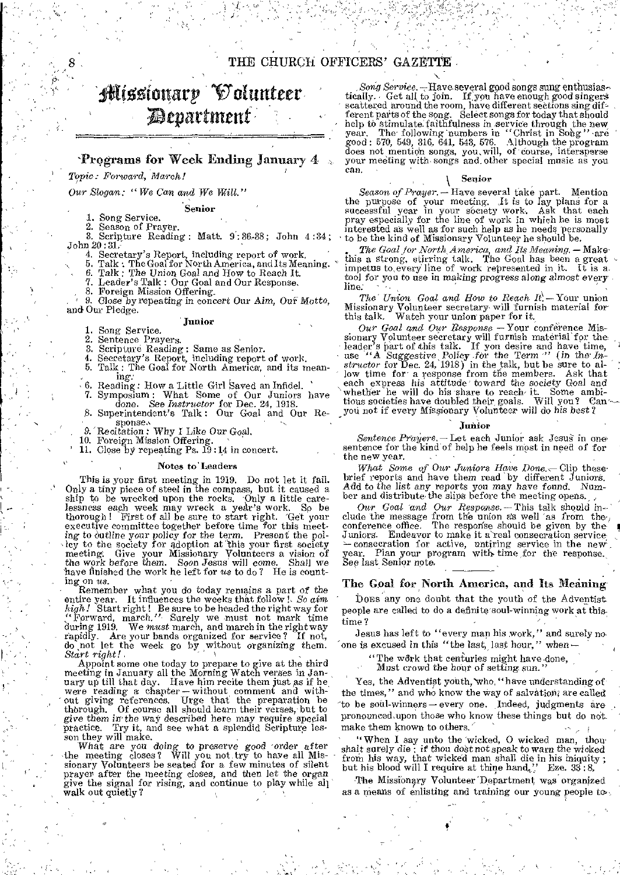## liOionarp "Volunteer apartment

### 'Programs for Week Ending January 4

*Topic: Forward, March!* 

*Our Slogan: "We Can* and We *Will."* 

### Senior

1. Song Service.

2. Season of Prayer.<br>3. Scripture Reading 3. Scripture Reading : Matt. 9:36-38; John 4:34;<br>John 20:31. John 20:31.<br>
4. Secretary's Report, including report of work.<br>
5. Talk: The Goal for North America, and Its Meaning.<br>
6. Talk: The Union Goal and How to Reach It.

- 
- 
- 
- 7. Leader's Talk : Our Goal and Our Response.
	- Foreign Mission Offering.

Glose by repeating in concert Our Aim, Our Motto, and Our Pledge.

### Junior

1. Song Service.<br>2. Sentence Pray

- 2. Sentence Prayers.<br>3. Scripture Reading
- 2. Scripture Reading : Same as Senior.<br>4. Secretary's Renort, including report.

4. Secretary's Report, including report of work.

- 5. Talk : The Goal for North America, and its meaning:
- 
- 6. Reading : How a Little Girl Saved an Infidel. 7. Symposium: What Some of Our Juniors have
- done. See *Instructor* for Dec. 24, 1918.<br>8. Superintendent's Talk: Our Goal and Our Response. *9. Recitation : Why* I Like Our Goal.
- 

10. Foreign Mission Offering.

11. Close by repeating Ps. 19:14 in concert.

#### Notes to' Leaders

This is your first meeting in 1919. Do not let it fail. Only a tiny piece of steel in the compass, but it caused a ship to be wrecked upon the rocks. Only a little care-<br>lessness each week may wreck a year's work. So be lessness each week may wreck a year's work. thorough ! First of all be sure to start right. Get your executive committee together before time for this meeting to outline your policy for the term. Present the policy to the society for adoption at this your first society meeting. Give your Missionary Volunteers a vision of have finished the work he left for *us* to do ? He is counting on *us.* 

Remember what you do today remains a part of the entire year. It influences the weeks that follow! So aim high! Start right! Be sure to be headed the right way for "Forward, march." Surely we must not mark time during 1919. We *must* march, and march in the right way rapidly. Are your bands organized for service? If not, rapidly. Are your bands organized for service? If not, do not let the week go by without organizing them. *Start right!.* 

Appoint some one today to prepare to give at the third meeting in January all the Morning Watch verses in Jan-uary up till that day. Have him recite them just *gs* if he were reading a chapter—without comment and with-<br>out giving references. Urge that the preparation be<br>thorough. Of course all should learn their verses, but to give them in the way described here may require special practice. Try it, and see what a splendid Scripture lesson they will make.

What are *you doing to preserve good* order after the meeting closes? Will you not, try to have all Mis-sionary Volunteers be seated for a few minutes of silent prayer after the meeting closes, and then let the organ give the signal for rising, and continue to play while all walk out quietly?

Song Service. -- Have several good songs sung enthusiastically. Get all to join. If you have enough good singers scattered around the room, have different sections sing dif-ferent parts of the song. Select songs for today that should help to stimulate faithfulness in service through the new year. The following numbers in "Christ in Song" are good : 570, 549, 316, 641, 543, 576. Although the program does not mention songs, you, will, of course,' ntersperse your meeting with songs and, other special music as you can.

t Senior *Season of Prayer.—* Have several take part. Mention the purpose of your meeting. It is to lay plans for a successful year in your society work. Ask that each pray especially for the line of work in which he is most interested as well as for such help as he needs personally to be the kind of Missionary Volunteer he should be.

*The Goal for North America, and Its Meaning.* — Make-<br>this a strong, stirring talk. The Goal has been a great impetus to,every line of work represented in it. It is a, tool for you to use in making *progress along* almost every line.

*The Union Goal and How to Reach Ie.—* Your union Missionary Volunteer secretary will furnish material for this talk. Watch your unionpaper for it.

*Our Goal and Our Response —Y*our conference Missionary Volunteer secretary will furnish material for the leader's Part of this talk. If you desire and have time, use "A *Suggestive* Policy *for* the Term'" *(in* the- *Instructor* for Dec. 24, 1918) in the talk, but be sure to al-<br>low time for a response from the members. Ask that low time for a response from the members. each express his attitude toward the society Goal and whether he will do his share to reach it. Some ambitious societies have doubled their goals. Will you? Can whether he will do his share to reach it. tious societies have doubled their goals. you not if every Missionary Volunteer will do his best?

#### Junior

*Sentence Prayers.—* Let each Junior ask Jesus` in one sentence for the kind of help he feels most in need of for the new year.

*What Some of Our Juniors Have Done.—* Clip these-brief reports and have them read by different Juniors. Add to the list any *reports you may* have found. Number and distribute the slips before the meeting opens.

Our *Goal and Our Response.—* This talk should include the message from the union as well as from the conference office. The response should be given by the Juniors. Endeavor to make it a real consecration service consecration for active, untiring service in the new . year. Plan your program with time, for the response. See last Senior note.

### The Goal for North America, and Its Meaning

Does any one doubt that the youth of the Adventist. people are called to do a definite soul-winning work at thistime ?

Jesus has left to "every man his work," and surely no one is excused in this "the last, last hour," when — *-* 

'The work that centuries might have done,

Must crowd the hour of setting sun.

Yes, the Adventist youth, who, "have understanding of the times," and who know the way of salvation, are called to be soul-winners — every one. Indeed, judgments are pronounced upon those who know these things but do not. make them known to others.'

"When I say unto the wicked, 0 wicked man, thou, shalt surely die ; if thou dost not speak to warn the wicked from his way, that wicked man shall die in his iniquity ;<br>but his blood will I require at thine hand.'' Eze. 33:8,

The Missionary Volunteer Department was organized as a means of enlisting and training our young people to

\_`.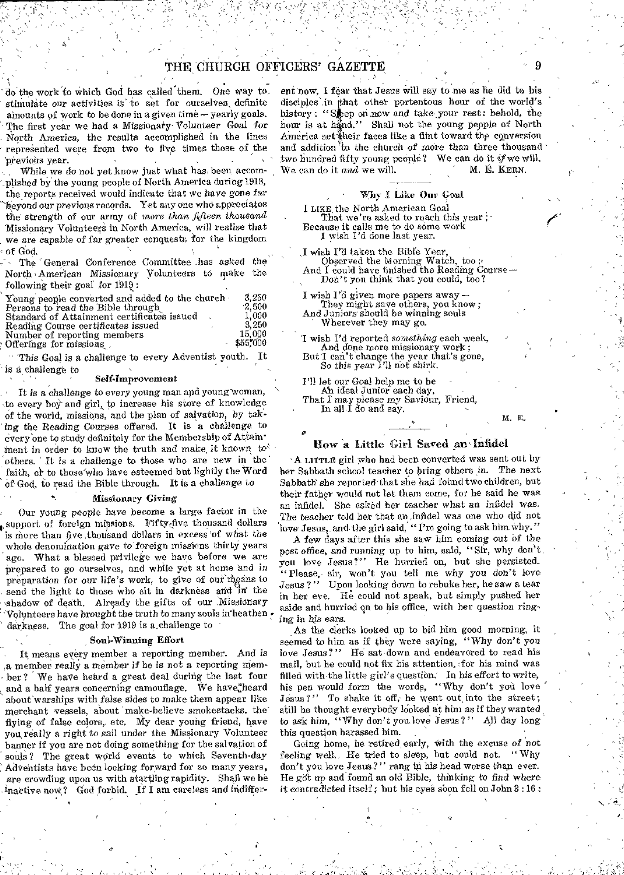do the work to which God has called them. One way to, stimulate our activities is to set for ourselves, definite amounts of work to be done in a given time — yearly goals. The first year we had a Missionary. Volunteer Goal *for*  North America, the results accomplished in the lines represented were from two to five times those of the 'previous year.

While we do not yet know just what has, been accom plished by the young people of North America during 1918, the reports received would indicate that we have *gone* far beyond our previous records. Yet any one who appreciates the strength of our army of *more than fifteen thousand*  Missionary Volunteers in North America, will realize that we are capable of far greater conquests for the kingdom of God.

The General Conference Committee has asked the North A*merican* Missionary volunteers to make the following their goal for  $1919$ :

| Young people converted and added to the church | 3.250    |
|------------------------------------------------|----------|
| Persons to read the Bible through              | 2,500    |
| Standard of Attainment certificates issued     | 1.000    |
| Reading Course certificates issued             | 3.250    |
| Number of reporting members                    | 15.000   |
| Offerings for missions .                       | \$55.000 |

This Goal is a challenge to every Adventist youth. It is a challenge to

### Self:Improvement

It is a challenge to *every* young man and young woman, to every boy and girl, to increase his store of knowledge of the world, missions, and the plan of salvation, by tak- ' ing the Reading Courses offered. It is a challenge to every one to study definitely for the Membership of Attainment in order to know the truth and make it known to others. It *is* a challenge to those who are new in the faith, or to those who have esteemed but lightly the Word Of God, to read the Bible through. It is a challenge to

#### Missionary Giving

Our young people have become a large factor in the support of foreign missions. Fifty-five thousand dollars is more than five thousand dollars in excess of what the whole denomination gave to foreign missions thirty years ago. What a blessed privilege we have before we are prepared to go ourselves, and while yet at home and *in*  preparation for *our* life's work, to give of our heans to send the light to those who sit in darkness and in the shadow of death, Already the gifts of our Missionary Volunteers have brought the truth to many souls in heathen  $\cdot$ darkness. The goal for 1919 is a,challenge to

### Soul-Winning Effort

It means every member a reporting member. And is a member really a member if he is not a reporting member? We have heard a great deal during the last four and a half years concerning camouflage. We have heard about warships with false sides to make them appear like merchant vessels, about make-believe smokestacks, theflying of false colors, etc. My dear young friend, have you, really a right to sail under the Missionary Volunteer banner if you are not doing something for the salvation of souls? The great world events to which Seventh-day Adventists have been looking forward for so many years, are crowding upon us with startling rapidity. Shall we be -inactive nowt? God forbid. If I am careless and indiffer-

ent now. I fear that Jesus will say to me as he did to his disciples in that other portentous hour of the world's history: "Step on now and take your rest: behold, the hour is at hand." Shall not the young people of North America set their faces like a flint toward the conversion and addition `'to the church of *mere* than three thousand two hundred fifty young people? We can do it *if we* will. We can do it and we will.

, .

### $\frac{1}{\frac{1}{2}+\frac{1}{2}+\cdots+\frac{1}{2}}$ ,, • Why I Like Our Goal

I LIKE the North American Goal That we're asked to reach this year; Because it calls me to do some work I wish I'd done last year.

I wish I'd taken the Bible Year, Observed the Morning Watch, too;' And I could have finished the Reading Course

Don't you think that you could, too?

I wish I'd given more papers away— They might save others, you know ; And *Juniors* should be winning souls

' Wherever they may go.

'I wish I'd reported *something* each week, And done more missionary work ; But I can't change the year that's gone, So this year I'll not shirk.

I'll let our Goal help me to be An ideal Junior each day, That I *may* please *my* Saviour, Friend,

In all I do and say.

### How a Little Girl Saved an Infidel

A LITTLE girl who had been converted was sent out by her Sabbath school teacher to bring others *in.* The next Sabbath she reported that she had found two children, but their father would not let them come, for he said he was an infidel. She asked her teacher what *an* infidel *was.*  The teacher told her that an,infidel was one who did not love Jesus, and the girl said, "I'm going to ask him why."

A few days after this she saw him *coming* out of the post office, and running up to him, said, "Sir, why don't you love Jesus?" He hurried on, but she persisted- "Please,. sir, won't you tell me why you *don't* love Jesus ?" Upon looking down to rebuke her, he saw a tear in her eve. He could not speak, but simply pushed her aside and hurried qn to his office, with her question *ringing* in his *ears.* 

As the clerks looked up to bid him good morning, it seemed to him as if they were saying, "Why don't you love *Jesus?"* He sat down and endeavored to read his mail, but he could not fix his attention, for his mind was filled with-the little girl's question; In his effort to write, his pen would form the words, "Why don't you love Jesus?" To shake it off, he went out into the street; To shake it off, he went out into the street; still he thought everybody looked at him as if they wanted to ask him, "Why don't youlove Jesus ? " All day long this question harassed him.

Going home, he retired early, with the excuse *of* not feeling well. He tried to sleep, but could not. " Why don't you love Jesus?" rang in his head worse than ever. He got up and found an old Bible, thinking to find where it contradicted itself; but his eyes soon fell on John 3:16 :

M<sub>p</sub> E.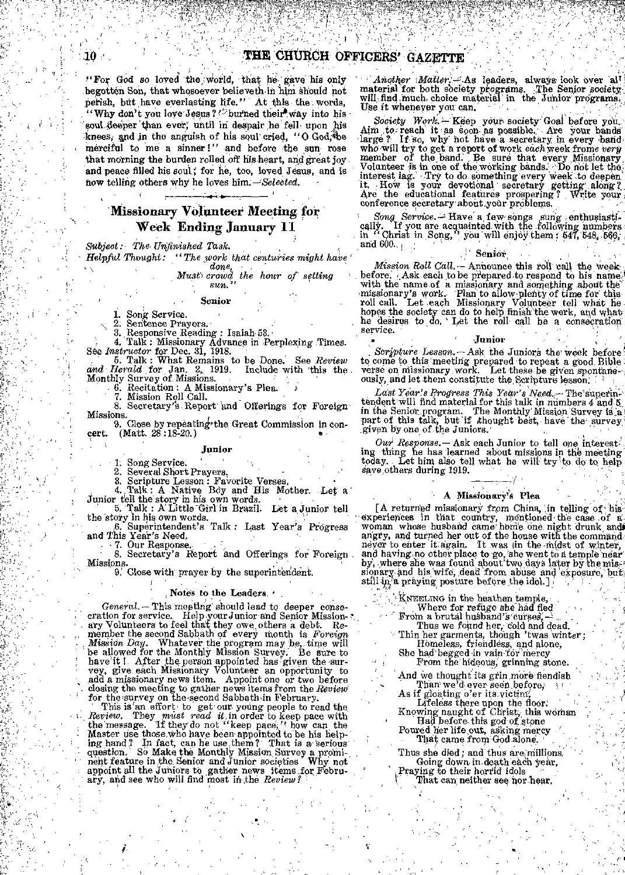i'For God so loved the ;World, that he:gave his only begotten Son, that whosoever believeth in him should not perish, but have everlasting life." At this the words, Why don't you love Jesus?<sup>'</sup>burned their way into his soul deeper than ever; until in despair he fell upon his knees, and in the anguish of his soul cried, "O God, be merciful to me a sinner!" and before the sun rose that morning the burden rolled off his heart, and great joy. and peace filled his soul; for he, too, loved Jesus, and is now telling others why he loves him, *—Selected.* 

### Missionary Volunteer Meeting for Week Ending January 11

*Subject; The- Unfinished Task.* 

Helpful Thought: "The work that centuries might have

*done,*<br> *Must crowd the hour of setting sun.*"

### Senior

1. Song Service.

Sentence Prayers.

Responsive Reading : Isaiah 53.

4. Talk : Missionary Advance in Perplexing Times.

See *Instructor* for Dec. 31, 1918.<br>
5. Talk : What Remains to be Done. See *Review*<br> *and Herald* for Jan. 2, 1919. Include with this the<br>
Monthly Survey of Missions.

6. Recitation : A Missionary's Plea.<br>7. Mission Roll Call.

8. Secretary's Report and Offerings for Foreign Missions,

9. Close by repeating the Great Commission in concert. (Matt. 28:18-20.)

#### Junior

1. Song Service.<br>2. Several Short Prayers. . . . . . . . . . .

3. Scripture Lesson : Favorite Verses, • 4. Talk : A Native Bay and His Mother. Let a

Junior tell the story in his own words. 5. Talk : Little-Girl in Brazil. Let a Junior tell the story in h*i*s own words.

)6. Superintendent's Talk : Last Year's Progress and This Year's Need.

7. Our Response.<br>8. Secretary's Report and Offerings for Foreign Missions.

9. Close with prayer by the superintendent.

#### Notes to the Leaders.

Genera/. — This meeting' should lead to deeper consecration for service. Help your Junior and Senior Mission-<br>ary Volunteers to feel that they owe others a debt. Re-<br>member the second Sabbath of every month is Foreign<br>Mission Day. Whatever the program may be, time will<br>be a In ave it ! After the person appointed has given the survey, give each Missionary Volunteer an opportunity to add a missionary news item. Appoint one or two before closing the meeting to gather news items from the *Review*  for the survey on the•second Sabbath-in February.

This is an effort to get our young people to read the<br>Review. They must read it in order to keep pace with<br>the message. If they do not "keep pace," how can the<br>Master use those who have been appointed to be his helping hand? In fact, can he use them? That is *a* serious-<br>question. So Make the Monthly Mission Survey <u>a</u> prominent feature in the Senior and Junior societies Why not appoint all the Juniors to gather news items for Febru-<br>ary, and see who will find most in the *Review?* 

*Another Matter* As leaders, always look over all material for both society programs. The Senior society: will find much choice material in the Junior programs. Use it whenever you can,

Society *Work.* - Keep your society Goal before you.<br>Aim to: reach it as soon as possible. Are your hands large ? If so, why not have a secretary in every band. who will try to get a report of work each week frome *very* member of the band. Be sure that every Missionary, Volunteer is in one of the working bands. Do not let the: volunteer is in one of the working bands. Do not let the interest lag. Try to do something every week to deepen it. How is your devotional secretary getting along?<br>Are the educational features prospering? Write your conference secretary about your problems.

Song Service. Have a few songs sung enthusiastic cally. If you are acquainted with the following numbers in "Christ in Song," you will enjoy them 547, 548, 566, and 600.

#### Senior,

Mi*ssion* Roll *Call.—* Announce this roll call the Week before. Ask each to be prepared to respond to his name.<br>with the name of a missionary and something about the missionary's work. Plan to allow plenty of time for this<br>roll call. Let each Missionary Volunteer tell what he<br>h service.

*, Junior*<br>Scripture Lesson.— Ask the Juniors the week before to come to this meeting prepared to repeat a good. Bible verse on missionary work. Let these be given spontaneously, and let them constitute the Scripture lesson;

Last Year's Progress This Year's Need.— The superintendent will find material for this talk in numbers 4 and 5, in the Senior program. The Monthly Mission Survey is a part of this talk, but if thought best, have the survey given by one of the Juniors.

*Out' Response.*—Ask each Junior to tell one interest-<br>ng thing he has learned about missions in the meeting<br>coday Let him also tell what he will turito de to help ing thing he has learned about missions in the meeting today. Let him also tell what he will try to do to help today. Let him also tel<br>save others during 1919.

A Missionary's Plea<br>
[A returned missionary from China, in telling of his-<br>
experiences in that country, mentioned the case of a-<br>
woman whose husband came home one night drunk and<br>
angry, and turned her out of the house w never to enter it again. It was (in the midst of winter, and having no other place to go, 'she went to a temple near by, where she was found about two days later by the missionary- and his wife, dead from abuse and exposure, still in a praying posture before the idol.

',KNEELING in the heathen temple,  $\mathbb{R}^3$  Where for refuge she had fled<br>Where for refuge she had fled<br>From a brutal bushand's curses

Where for refuge she had fled<br>From a brutal husband's curses,  $-$ 

Thus we fohnd her, Cold and dead. Thin her garments, though 'twas winter;

Homeless, friendless, and alone,<br>She had begged in vain for mercy

From the hideous; grinning atone.

And we thought its grin more fiendish Than:we'd ever- seen before,

As if gloating o'er its.victint;

Lifeless there upon the floor: Knowing naught of Christ,, this woman Had before-this god of stone

Poured her life out, asking mercy

Thus she died; and thus are millions Going down in death each year, ying to their horrid idols That can, neither see nor hear,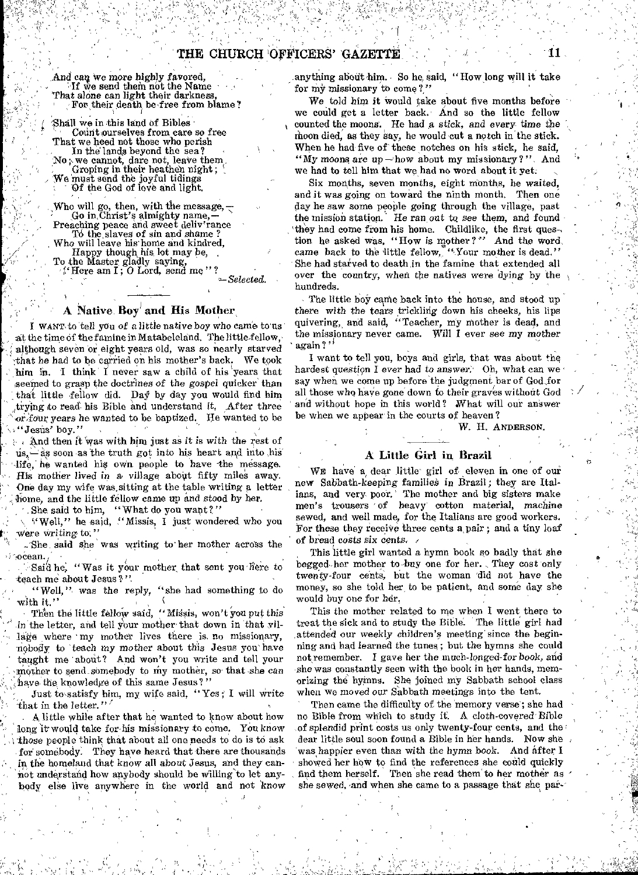And can we more highly favored,<br>If we send them not the Name That alone can light their darkness

For their death be free from blame?

Shall we in this land of Bibles

Count ourselves from care so free That we heed not those who perish

In the lands beyond the sea? No; we cannot, dare not, leave them.

Groping in their heathen night ;

We must send the joyful tidings<br> **Of the God of love and light.** 

Who will go, then, with the message,  $\overline{\phantom{a}}$ Go in Christ's almighty name, Preaching peace and sweet deliv'rance

To the slaves of sin and shame ? ho will leave his home and kindred.

Happy though his, lot may be, To the Master, gladly saying,

'Here am I; O Lord, send me"?

### *'-Selected.*

### A Native Boy' and His Mother

I WANT to 'tell you of a little native boy who came to'us at the time of the famine in Matabeleland. The little fellow, although seven 'or eight years old, was so nearly starved ;that he had to be carried on his mother's back. We took him in. I think I never saw a child of his years that ,seemed to grasp the doctiines *of* the gospel quicker than that little fellow did. Dag by day you would find him trying to read his Bible and understand it, After three *isz;• if our years* he wanted to be baptized., He wanted to be "Jesus' boy."

 $\therefore$  And then it was with him just as it is with the rest of  $us - as$  soon as the truth got into his heart and into his life, he wanted his own people to have the message. His mother lived in a village about fifty miles away. ' One day my wife was sitting at the table writing a letter thome, and the little fellow came up and stood by her.

, She said to him, " What do you want? "

"Well," he said, "Missis, I just wondered who you R'' were *tiring to."* 

. She said she was writing to her mother across the ocean.,

Said he, "Was it your mother that sent you here to • teach me about Jesus ?".

"Well," was the reply, "she had something to do with it."

Then the little fellow said, "Missis, won't you put this in the letter, and tell your mother that down in that village where my mother lives there is no missionary, nobody to 'teach my mother about this Jesus you have taught me about? And won't you write and tell your mother to send, somebody to my mother, so that she can have the knowledge of this same Jesus?"

Just to satisfy him, my wife said, "Yes; I will write that in the letter."<sup>3</sup>

A little while after that he wanted to know about how long it would take for his missionary to come. You know those people think that about all one needs to do is to ask for somebody. They have heard that there are thousands in the homeland that *know* all about Jesus, and they canhot understand how anybody should be willing to let any- ' bedy else live anywhere in the world and not *'know* 

anything about him. So he said, "How long will it take for my missionary to come?"

We told him it would take about five months before we could get a letter back.' And so the little fellow counted the moons. He had a stick, and every time the moon died, as they say, he would cut a notch in the stick. When he had five of these notches on his stick, he said, "My moons are  $up$ -how about my missionary?". And we had to tell him that we had no word about it yet:

Six months, seven months, eight months, he waited, and it was going on toward the ninth month. Then one day he saw some people going through the village, past the mission station. He ran out to see them, and found 'they had come from his home. Childlike, the first ques-. tion he asked was, "How is mother?" And the word. came back to the little fellow, " $'$ ". Your mother is dead." She had starved to death in the famine that extended all over the country, when the natives were dying by the hundreds.

The little boy came back into the house, and stood up there with the tears trickling down his cheeks, his lips quivering, and said, "Teacher, my mother is dead, and the missionary never came. Will I ever see my mother again?''

I want to tell you, boys and girls, that was about the hardest question I ever had to *answer.* Oh, what can we say when we come up before the judgment bar of God,for all those who have gone down to their graves without God / and without hope in this world? What will our answer be when we appear in the courts of heaven?

W. H. ANDERSON.

### A Little Girl in Brazil

WE have a dear little girl of eleven in one of our new Sabbath-keeping families in Brazil; they are Italians, and very poor. The mother and big sisters make men's trousers of heavy cotton material, *machine*  sewed, and well made, for the Italians are good workers. For these they receive three cents a,pair ; and a tiny loaf of bread costs *six* cents.

This little girl wanted a hymn book so badly that she begged her mother to-buy one for her. They cost only twenty-four cents; but the woman did not have the money, so she told her to be patient, and some day she would buy one for her.

This the mother related to me when I went there to treat the sick and to study the Bible: The little girl had attended our weekly children's meeting since the beginning and had learned the tunes ; but the hymns she could not remember. I gave her the much-longed-for book, and she was constantly seen with the book in her hands, memorizing the hymns. She joined my Sabbath school class when we moved our Sabbath meetings into the tent.

Then came the difficulty of the memory verse ; she had no Bible from which to study it. A cloth-covered Bible of splendid print costs us only twenty-four cents, and the dear little soul soon found a Bible in her hands. Now she was happier even than with the *hymn* book. And after I showed her how to find the references she could quickly find them herself. Then she read them to her mother as she *sewed,* and when she came to a passage that she par-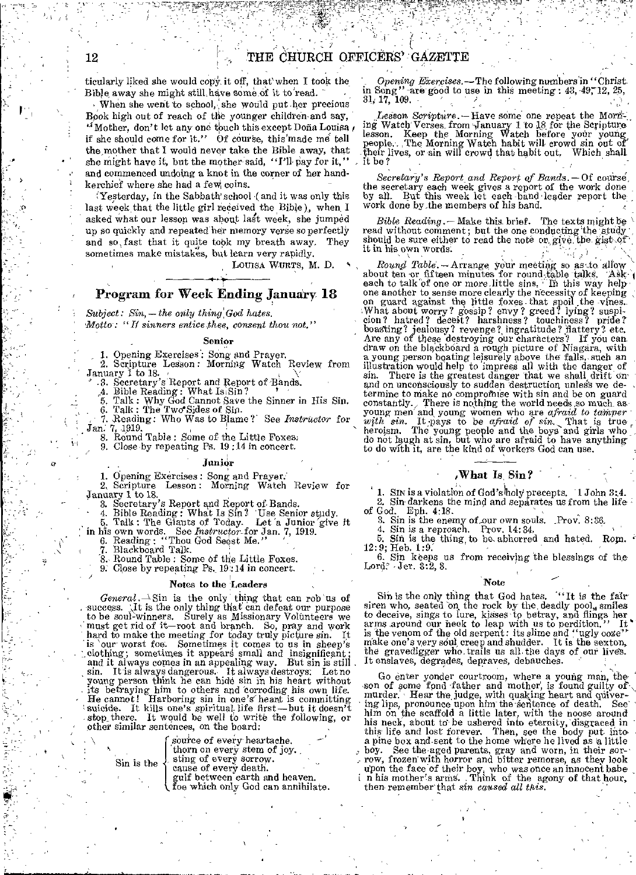7

ticularly liked she would copy it off, that when I took the Bible away she might still have some of it to read.

When she went to school, she would put her precious Book high out of reach of the younger children and say, "Mother, don't let any one touch this except Doña Louisa, if she should come for it." Of course, this made me tell the mother that I would never take the Bible away, that she might have it, but the mother said, "I'll-pay for it," and commenced undoing a knot in the corner of her handkerchief where she had a few coins.

"Yesterday, in the Sabbath'school (and it was only this last week that the little girl received the Bible), when  $I$ asked what our lesson was about last week, she jumped up so quickly and repeated hex memory verse so perfectly and so, fast that it quite took my breath away. They sometimes make mistakes, but learn very rapidly.

LOUISA WURTS, M. D.

### Program for Week Ending January 18

*Subject: Sin,—the only thing' God hates. ' Motto: "If sinners entice thee, consent thou not."* 

#### Senior

1. Opening Exercises': Song and Prayer. 2. Scripture Lesson : Morning Watch Review from January 1 to 18.<br>• .3. Secretary

Secretary's Report and Report of Bands.

,4. Bible Reading: What Is.Sin ? 5. Talk : Why God Cannot Save the Sinner in His Sin.

6. Talk : The Two Sides of Sin.<br>7. Reading : Who Was to Blame ?' See *Instructor* for

Jan. 7, 1919. **8. Round Table : Some of the Little Foxes.** 

9. Close by repeating Ps. 19 :14 in concert.

#### Junior

1. Opening Exercises : Song and Prayer. 2, Scripture Lesson: Morning Watch Review for January 1 to 18.

3. Secretary's Report and Report of Bands.<br>4. Bible Reading : What Is Sin ? Use Senior study.<br>5. Talk : The Giants of Today. Let a Junior give it<br>in his own words. See Instructor for Jan. 7, 1919.<br>6. Reading : "Thou God Se

Blackboard Talk.

8. Round Table : Some of the Little Foxes.

9. Close by repeating Ps. 19':14 in concert.

#### Notes to the Leaders

 $General \rightarrow$  Sin is the only thing that can rob us of . success.±It is the only thing that can defeat our purpose to be soul-winners. Surely as Missionary Volunteers we must get rid of it—root and branch. So, pray and work - hard to make the meeting for today truly picture sin. It is our worst foe. Sometimes it comes to us in sheep's clothing; sometimes it appears small and insignificant;<br>and it always comes in an appealing way. But sin is still<br>sin. It is always dangerous. It always destroys. Let no<br>young person think he can hide sin in his heart with its betraying him to others and 'corroding his own life. Ile cannot! Harboring sin in one's' heant is committing suicide. It kills one's spiritual, life first—but it doesn't stop\_ there. It would be well to write the following, or other similar sentences, on the board:

> source of every heartache. thorn on every stem of joy. , sting of every sorrow. Sin is the  $\{$  sung or every sector. gulf between earth and heaven. foe which only God can annihilate.

*' Opening Exercises.—The* following nurnbers'in "Christ. in Song "-are good to use in this meeting :  $43, 49, 12, 25,$ <br>31, 17, 109.

Lesson Scripture. - Have some one repeat the Morning Watch Verses from January 1 to 18 for the Scripture lesson. Keep the Morning Watch before your young people. The Morning Watch habit will crowd sin out of their lives, or sin will crowd that habit out, Which shall it be ?

*SeereiarY's Report and Report of Bands.* — Of course, the secretary each week gives a report of the work done by all. But this week let each -band leader report the work done by.the members of his band.

*Bible Reading.*— Make this brief. The texts might be read without comment; but the one conducting the study should be sure either to read the note or give, the gist of it in his own words:

Round Table. - Arrange your meeting so as to allow about ten or fifteen minutes for round table talks, each to talk of one or more little sins. In this way help one another to sense more clearly the necessity of keeping<br>on guard against the little foxes that spoil the vines.<br>What about worry? gossip? envy? greed? lying? suspi-<br>cion? hatted? decekt? harshess? touchiness? pride?<br>boa a young person boating leisurely above the falls, such an illustration would help to impress all with the danger of sin. There is the greatest danger that we shall drift onand on unconsciously to sudden destruction unless we determine to make no compromise with sin and be on guard constantly. There is nothing the world needs so much as There is nothing the world needs so much asyoung men and young women who are afraid to tamper<br>with sin. It pays to be afraid of sin. That is true<br>heroism. The young people and the boys and girls who<br>do not laugh at sin, but who are afraid to have anything to do with it, are the kind of workers God can use.

### ,What Is Sin?

1. SIN is a violation of God's holy precepts. 1 John 3:4. Sin darkens the mind and separates us from the life

of God. Eph. 4:18. 3. Sin is the enemy of our own souls. Prov. 8:86.<br>4. Sin is a reproach. Prov. 14:34,

Sin is the thing, to be abhorred and hated. Rom. 12:9; Heb,1:9.

6. Sin keeps us from receiving the blessings of the Lord? . Jer. 3:2, 3.

#### Note

Sin is the only thing that God hates. "It is the fair siren who, seated on, the rock by the deadly pool, smiles to deceive, *sings* to lure, kisses tp betray, and flings her arms around our heek to leap with us to perdition." It is the venom of the old serpent: its slime and "ugly ooze" make one's very soul, creep and shudder. It is the sexton, the gravedigger who, trails us all the days of our lives. It enslaves, degrades, depraves, debauches.

Go enter yonder courtroom, where a young man, the son of some fond father and mother, is found guilty of murder. Hear the judge, with quaking heart and quiver-<br>ing lips, pronounce upon him the sentence of death. See<br>him on the scaffold a little later, with the noose around his neck, about to be ushered into eternity, disgraced in this' life and lost forever. Then, see the body put into a pine box and sent to the home where he lived as a little , boy. See the-aged parents, gray and worn, in their sor- , row, frozen with horror and bitter remorse, as they look upon the face of their boy, who was once an innocent babe n his mother's arms.. Think of the agony of that hour, then" remember- that sin *caused all this.*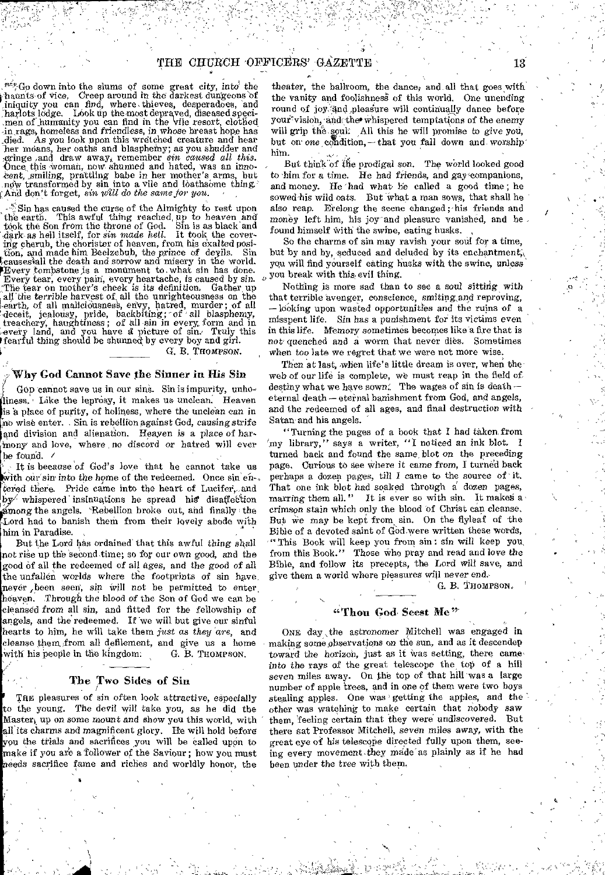$\frac{m \times p}{n}$  Go down into the slums of some great city, into the haunts-of vice. Creep around in the darkest dungeons of iniquity you can find, where. thieves, desperadoes, and harlots lodge. Look up the most depraved, diseased speci-<br>men of humanity you can find in the vile resort, clothed -in rags; homeless and friendless, *in* whose breast hope has As you look upon this wretched creature and hear her moans, her oaths and blasphemy; as you shudder and gringe and draw away, remember *sin caused all this.* Once this woman, now shunned and hated, was an innobent, smiling, prattling babe in her mother's arms, but now transformed by sin into a vile and loathsome thing.' And don't forget, sin will do the same for you.

Sin has caused the curse of the Almighty to rest upon the earth. This awful thing reached, up to heaven and took the Son from the throne of God. Sin is as black and dark as hell itself, for sin made hell. It took the cover-<br>ing cherub, the chorister of heaven, from his exalted position, and made him Beelzebub, the prince of deyils. Sin causes all the death and sorrow and misery in the world. Every tombstone is a monument to what sin has done. Every tear, every pain, every heartache, is caused by sin. ;The tear on mother's cheek is its definition. Gather up all 'the terrible harvest of, all the unrighteousness on the earth, of all maliciousness, envy, hatred, murder; of all deceit, jealousy, pride, backbiting; of 'all blasphemy, treachery, haughtiness; of all sin in every form and in every land, and you have a picture of sin. Truly this fearful thing should be shunned by every boy and girl.<br>
G. B. THOMPSON.

### /Why God Cannot Save the Sinner in His Sin

Gop cannot save us in our sine. Sin is impurity, unho-Ii kno wise enter. . Sin is rebellion against God, *causing* strife liness. Like the leprosy, it makes us unclean. Heaven s 'a place of purity, of holiness, where the unclean can *in*  land division and alienation. Heaven is a *place* of har- 'many and love, where , no discord or hatred will ever be found.

It is because of God's love that he cannot take us with our sin into the home of the redeemed. Once  $\sin$  en-, tered there. Pride came into the heart of Lucifer, and by whispered insinuations he spread his disaffection among the angels. Rebellion broke out, and finally the among the ingens. Accounted broke car, and many are Lord had to banish them from their lovely abode with him in Paradise.

But the Lord has ordained that this awful thing shall not rise up the second time; so for our own good, and the good Of all the redeemed of all ages, and the good of all the unfallen worlds where the footprints of sin have, never ,been seen, *sin Will* not be permitted to enter, heaven. Through the blood of the Son of God we can be cleansed *from* all sin, and fitted for the fellowship of *angels,* and the redeemed. If 'we will but give our sinful hearts to him, he will take them *just as they are,* and cleanse them, from all defilement, and give us a home<br>with his people in the kingdom: G. B. Thompson, with his people in the kingdom:

### The Two Sides of Sin

THE pleasures of sin often look attractive, especially to the young. The devil will take you, as he did the Master; up on some mount and show you this world, with all its charms and magnificent glory. He will hold before you the trials and sacrifices you will be called upon to make if you are a 'follower of the Saviour ; how you must eeds sacrifice fame and riches and worldly honor, the

theater, the ballroom, the dance; and all that goes with the vanity and foolishness of this world. One unending round of joy, and pleasure will continually dance before your vision, and the whispered temptations of the enemy will grip the soul: All this he will promise to give you, but on *one* condition,—that you fall down and worship' him.

But think ef the prodigal *son.* The world looked good to him for a time. He had friends, and gay companions, and money. He had what he called a good time; he sowed-his wild oats. But What a man sows, that shall he also reap. Erelong the scene changed ; his friends and money left him, his joy and pleasure vanished, and he found himself with the swine, eating husks.

So the charms of sin may ravish your soul for a time, but by and by, seduced and deluded by its enchantment;, you will find yourself eating husks with the swine, unless' you break with this evil thing.

Nothing is more sad than to see a soul sitthig with that terrible avenger, conscience, *smiting,and* reproving, —looking upon wasted opportunities and the ruins of a misspent life. Sin *has* a punishment for its victims even in this life. *Memory* sometimes becomes like a fire that is not' quenched and a worm that never dies. Sometimes when too late we regret that we were not more wise.

Then at last, when life's little dream is over, when theweb of our life is complete, we must reap in the field of destiny what we have sown. The wages of sin is death  $$ eternal death — eternal banishment from God, and angels, and the redeemed of all ages, and final destruction with Satan and his angels.

"Turning the pages of a book that I had taken from 'my library," says a writer, "I noticed an ink blot. I turned back and found the same, blot on the preceding page, Curious to see where it came from, I turned back perhaps a dozen pages, till I came to the source of it. That one ink blot had soaked through a dozen pages, marring them all." It is ever so with sin. It makes a It is ever so with sin. It makes a crimson stain which only the blood of Christ can cleanse. But we may be kept from sin. On the flyleaf of the Bible of a devoted saint of God were written these words, " This Book will keep you from sin: sin will keep you, from this Book." Those who pray and read and love the Bible, and follow its precepts, the Lord will save, and give them a world where pleasures will *never* end.

*G.* B. THOMPSON. '

### "Thou God Seest Me"

ONE day the astronomer Mitchell was engaged in making some observations on the sun, and as it descendep toward the horizon, just as it was setting, there came *into* the rays of the great telescope the, top of a hill seven miles away. On the top of that hill was a large number of apple trees, and in one of them were two boys stealing apples. One was getting the apples, and the other was watching to make certain that nobody saw them, 'feeling certain that they were undiscovered. But there sat Professor Mitchell, seven miles away, with the great eye of his telescope directed fully upon them, seeing every movement-they, made as plainly as if he had been under the tree with them.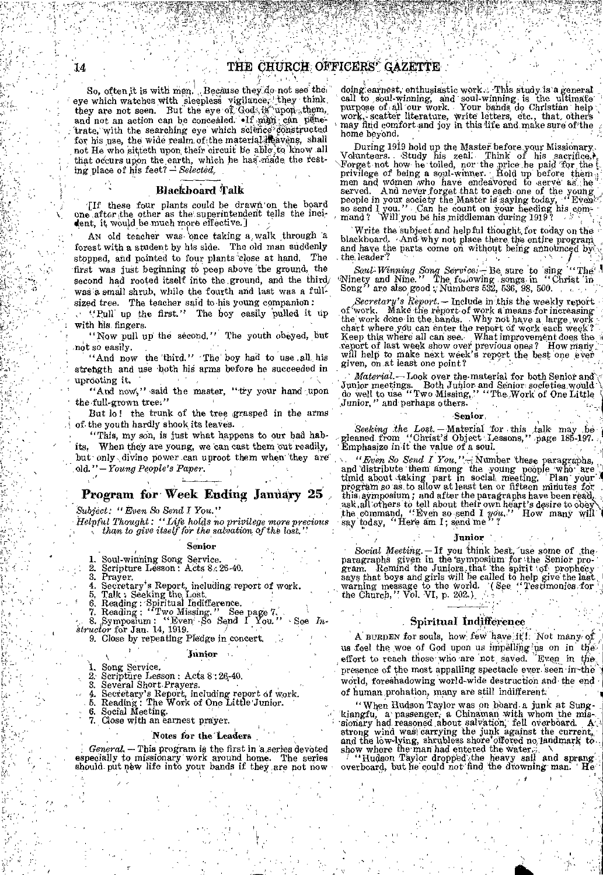So, often it is with men. Because they do not see the eye which watches with sleepless vigilance. they think they are not seen. But the eye of God is upon them, and not an action can be concealed. If man can penetrate, with the searching eye which science constructed for his use, the wide realm of the material fleavens, shall not He who sitteth upon their circuit be able to know all that occurs upon the earth, which he has made the resting place of his feet? - Selected,

### **Blackboard Talk**

If these four plants could be drawn on the board one after the other as the superintendent tells the incident, it would be much more effective.]

An old teacher was once taking a walk through a forest with a student by his side. The old man suddenly stopped, and pointed to four plants close at hand. The first was just beginning to peep above the ground, the second had rooted itself into the ground, and the third was a small shrub, while the fourth and last was a fullsized tree. The teacher said to his young companion:

"Pull up the first." The boy easily pulled it up with his fingers.

"Now pull up the second." The youth obeyed, but not so easily.

"And now the third." The boy had to use all his strength and use both his arms before he succeeded in uprooting it.

"And now," said the master, "try your hand upon the full-grown tree.'

But lo! the trunk of the tree grasped in the arms of the youth hardly shook its leaves.

This, my son, is just what happens to our bad hab-When they are young, we can cast them out readily, but only divine power can uproot them when they are old." - Young People's Paper.

### Program for Week Ending January 25

Subject: "Even So Send I You."

Helpful Thought: "Life holds no privilege more precious<br>than to give itself for the salvation of the lost."

### Senior

- Soul-winning Song Service.
- Scripture Lesson: Acts 8: 26-40. 2.
- Prayer.
- Secretary's Report, including report of work.
- Talk : Seeking the Lost
- 
- 

Reading: Spiritual Indifference.<br>Reading: "Two Missing." See page 7.<br>Symposium: "Even So Send I You." See In-8. Symposium : "Eve<br>structor for Jan. 14, 1919.

9. Close by repeating Pledge in concert.

### Junior

- 
- Song Service. Scripture Lesson: Acts 8:26-40.
- 
- Several Short Prayers.
- Secretary's Report, including report of work.<br>Reading : The Work of One Little Junior.<br>Social Meeting.
- 
- 6.

### Close with an earnest prayer.

#### Notes for the Leaders

General. - This program is the first in a series devoted especially to missionary work around home. The series should put new life into your bands if they are not now

doing earnest, enthusiastic work. This study is a general call to soul-winning, and soul-winning is the ultimate purpose of all our work. Your bands do Christian help work, scatter literature, write letters, etc., that others may find comfort and joy in this life and make sure of the home beyond

During 1919 hold up the Master before your Missionary.<br>Volumeers. Study his zeal. Think of his sacrifice.<br>Forget not how he toiled, nor the price he paid for the privilege of being a soul-winner. Hold up before them<br>men an served. And it was the Master is saying today, "Even so send I you." Can be count on your heeding his com-<br>mand? Will you be his middleman during 1919? **Even** 

Vrite the subject and helpful thought for today on the blackboard. And why not place there the entire program the leader?

Soul-Winning Song Service. Be sure to sing "The "Ninety and Nine." The following songs in "Christ in Song" are also good : Numbers 532, 536, 98, 500.

Secretary's Report. - Include in this the weekly report of work. Make the report of work a means for increasing<br>the work done in the bands. Why not have a large work chart where you can enter the report of work each week? Keep this where all can see. What improvement does the responsible where an can see. What improvement does she<br>report of last week show over previous ones? How many<br>will help to make next week's report the best one ever given, on at least one point?

Material.-Look over the material for both Senior and Junior meetings. Both Junior and Senior societies would<br>do well to use "Two Missing," "The Work of One Little<br>Junior," and perhaps others.

#### Senior.

Seeking the Lost. - Material for this talk may be gleaned from "Christ's Object Lessons," page 185-197.<br>Emphasize in it the value of a soul.

"Even So Send I You." Number these paragraphs,<br>and distribute them among the young people who are<br>timid about taking part in social meeting. Plan your<br>program so as to allow at least ten or fifteen minutes for this symposium; and after the paragraphs have been read, ask all others to tell about their own heart's desire to obey<br>the command, "Even so send I you." How many will<br>say todsy, "Here am I; send me"?

#### **Junior**

Social Meeting. - If you think best, use some of the paragraphs given in the symposium for the Senior proparam. Remind the Juniors, that the spirit of prophecy<br>says that boys and girls will be called to help give the last<br>warning message to the world. (See "Testimonies for<br>the Church," Vol. VI, p. 202.)

### . Spiritual Indifference

A BURDEN for souls, how few have it! Not many of us feel the woe of God upon us impelling ius on in the effort to reach those who are not saved. Even in the presence of the most appalling spectacle ever seen in the world, foreshadowing world-wide destruction and the end of human prohation, many are still indifferent.

"When Hudson Taylor was on board a junk at Sung-<br>kiangfu, a passenger, a Chinaman with whom the missionary had reasoned about salvation, fell overboard. A. strong wind was carrying the junk against the current, and the low-lying, shrubless shore offered no landmark to

show where the man had entered the water.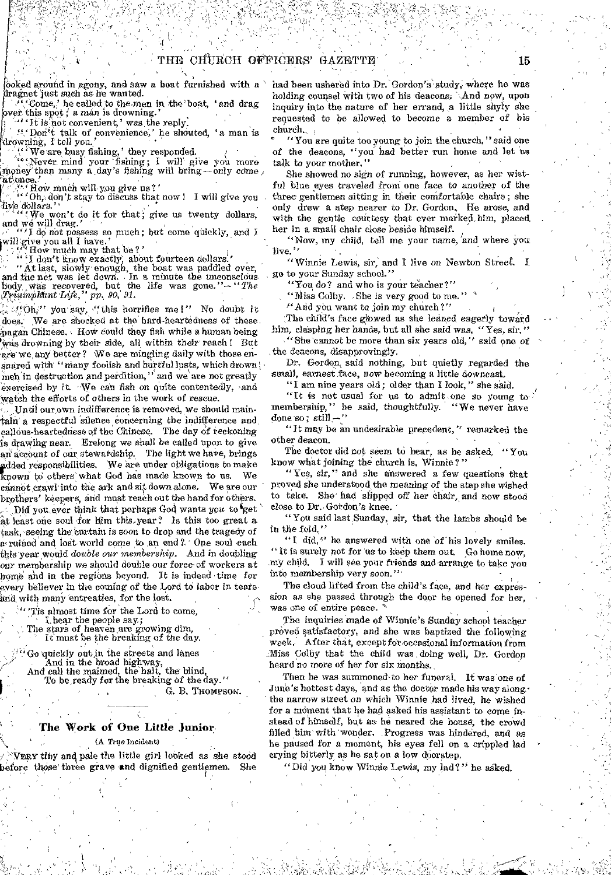*1*  nOlied around in agony, and saw a boat furnished with a , dragnet just such as he wanted.

[ *',",`,Come,,'* he called to the.men in the 'boat, "and drag  $\frac{1}{2}$  (over this spot; a man is drowning.

<sup>1</sup> It is not convenient,' was the reply.<br>[<sup>51</sup>] Pon<sup>i</sup>t talk of convenience,' he shouted, 'a man is drowning, I tell you.

'We are busy fishing,' they responded.

l " "Wever, mind your 'fishing ; I will give you more money' than many a day's fishing will bring—only *come* at once.<br>I May much will you give us?'

.

" 'Oh;, don't stay to diScuss that *now 1* I will give you ltrie dollars.' We won't do it for that; give us twenty dollars,

and we will drag.

I do not possess so much; but come quickly, and I will give you all I have.'<br>'s' How much may that be?'

 $\mathbb{R}^2$  How much may that be?<br>  $\mathbb{R}^3$  How much may that be?<br>  $\mathbb{R}^3$  At last, slowly enough, the boat was paddled over,<br>  $\mathbb{R}^4$  At last, slowly enough, the about was ledded inconscious<br>
and the net was let d

**4**<sup>2</sup> $\frac{2}{\sqrt{3}}$  if  $\frac{1}{2}$  ou/say,  $\frac{1}{2}$  this horrifies me!" No doubt it. does. We are shocked at the hard-heartedness of these. hagan Chinese. How could they fish while a human being was drowning by their side, all within their reach! But are we any better? We are mingling daily with those ensnared with "many foolish and hurtful lusts, which drown; men in destruction and perdition," and we are not greatly exercised by it. We can fish on quite contentedly, and Watch the efforts of others in the work of rescue.

Until our own indifference is removed, we should maintain a respectful silence concerning the indifference and callous-heartedness of the Chinese. The day of reckoning is drawing near. Erelong we shall be called upon to *give*  an account of our stewardship. The light we have, brings dded responsibilities. We are under obligations to make known to others what God has made known to us. cannot crawl into the ark and sit down alone. We are our brothers' keepers, and must reach out the hand for others.

Did you ever think that perhaps God wants you to get at least one soul for him this,year ? Is this too great a task, seeing the curtain is soon to drop and the tragedy of a ruined and lost world come to an end?. One soul each this year would *double our membership.* And in doubling our membership we should double our force of workers at home and in the regions beyond. It is indeed time for every believer in the coming of the Lord to labor in tearsand, with many'entreaties, for the lost.  $\int_{0}^{\infty}$ 

"'Tis almost time for the Lord to come, I, hear the people say.;

The stars of heaven are growing dim,<br>It must be the breaking of the day.

Go quickly out in the streets and lanes

And in the broad highway,<br>And call the maimed, the halt, the blind,<br>To be, ready for the breaking of the day."

The Work of One Little Junior

G. B. THOMPSON.

(A True Incident)

- 'VERY-tiny and pale the little girl looked as she stood before those three grave and dignified gentlemen. She had been ushered into Dr. Gordon's study, where he was holding counsel with two of his deacons, And now, upon inquiry into the nature of her errand, a little shyly she requested to be allowed to become a member of his church.,

"You are quite too young to join the church," said one of the deacons, "you had better run home and let us talk to your mother,"

She showed no sign of running, however, as her wistful blue eyes traveled from one face to another of the three gentlemen sitting in their comfortable chairs ; she only drew a step nearer to Dr, Gordon, He arose, and with the gentle courtesy that ever marked, him, placed. her in a small chair close beside himself.

'Now, my child, tell me your name, and where you live." .

"Winnie Lewis, sir, and I live on Newton Street. I go to your Sunday school."

"You do? and who is your teacher?"

" Miss Colby. She is very good to me."

"And you want to join my church ?"

The child's face glowed as she leaned eagerly toward

him, clasping her hands, but all she said was, "Yes, sir." " She 'cannot be more than six *years* old," said one of the deacons, disapprovingly.

Dr. Gordon, said nothing, but quietly regarded the small, earnest face, now becoming a little downcast.

"I am nine years old; older than I look," she said.

"It is not *usual* for us to admit one so young to membership," he said, thoughtfully. "We never have done so;  $\text{still} -$ "

"It may be an undesirable precedent," remarked the other deacon.

The doctor did not seem to hear, as he asked, "You know what joining the church is, Winnie? "

"Yes, sir," and she answered a few questions that proved *she* understood the meaning of the step she wished to take. She had slipped off her chair, and now stood close to Dr.-Garden's knee.

"You said last Sunday, sir, that the lambs should be in the fold."

"I did," he answered with one of his lovely smiles. "It is surely not for us to keep them out. Go home now, my child. I will see your friends and arrange to take you into membership very soon."'

The cloud lifted from the child's face, and her expression as she passed through the door he opened for her, was one of entire peace.

The inquiries made of Winnie's Sunday school teacher proved satisfactory, and she was baptized the following week: After that, except foroecasional information from \_Miss Colby that the child was *doing* well, Dr. Gordon heard no more of her for six months.

Then he was summoned-to her funeral. It was one of Jun'e's hottest days, and as the doctor made his way along • the narrow street on which Winnie had lived, he wished for a moment that he had asked his assistant to come instead of himself, but as he neared the house, the crowd filled him with wonder. Progress was hindered, and as he paused for a moment, his eyes fell on a crippled lad crying bitterly, as he sat on a low doorstep.

"Did you know Winnie Lewis, my lad?" he asked.